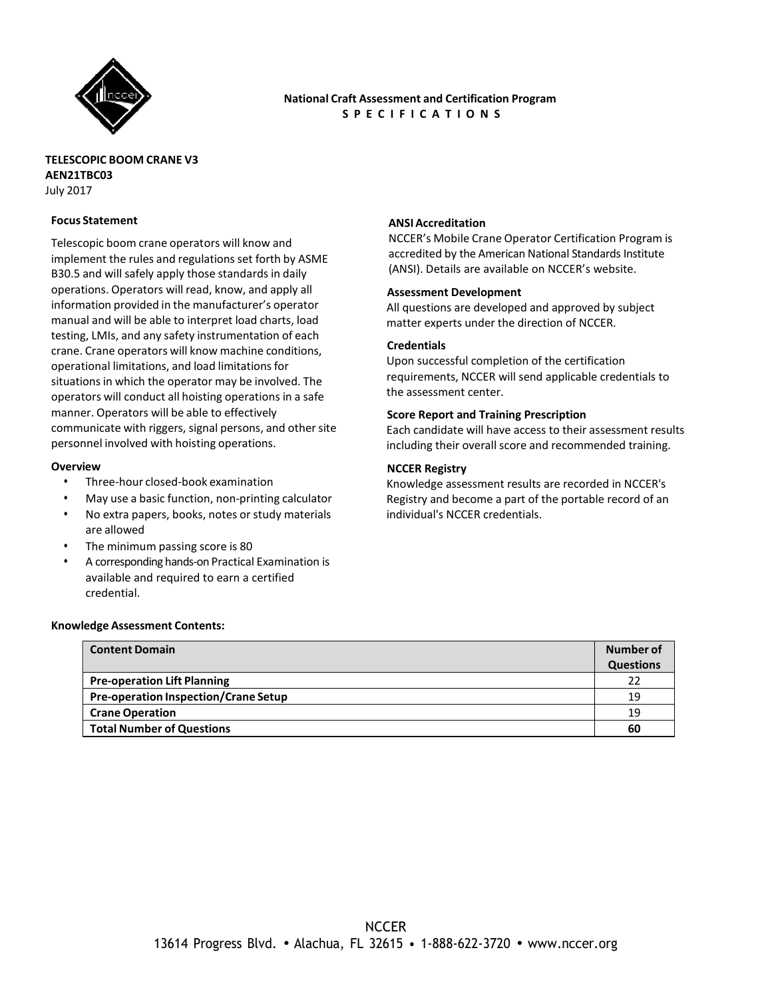

## **National Craft Assessment and Certification Program S P E C I F I C A T I O N S**

### **TELESCOPIC BOOM CRANE V3 AEN21TBC03** July 2017

#### **Focus Statement**

Telescopic boom crane operators will know and implement the rules and regulations set forth by ASME B30.5 and will safely apply those standards in daily operations. Operators will read, know, and apply all information provided in the manufacturer's operator manual and will be able to interpret load charts, load testing, LMIs, and any safety instrumentation of each crane. Crane operators will know machine conditions, operational limitations, and load limitations for situations in which the operator may be involved. The operators will conduct all hoisting operations in a safe manner. Operators will be able to effectively communicate with riggers, signal persons, and other site personnel involved with hoisting operations.

#### **Overview**

- Three-hour closed-book examination
- May use a basic function, non-printing calculator
- No extra papers, books, notes or study materials are allowed
- The minimum passing score is 80
- A corresponding hands-on Practical Examination is available and required to earn a certified credential.

#### **Knowledge Assessment Contents:**

# **Content Domain Number of Number of Number of Number of Number of Number of Number of Questions Pre-operation Lift Planning** 22 **Pre-operation Inspection/Crane Setup** 19 **Crane Operation** 19 **Total Number of Questions 60**

#### **ANSI Accreditation**

NCCER's Mobile Crane Operator Certification Program is accredited by the American National Standards Institute (ANSI). Details are available on NCCER's website.

#### **Assessment Development**

All questions are developed and approved by subject matter experts under the direction of NCCER.

#### **Credentials**

Upon successful completion of the certification requirements, NCCER will send applicable credentials to the assessment center.

#### **Score Report and Training Prescription**

Each candidate will have access to their assessment results including their overall score and recommended training.

#### **NCCER Registry**

Knowledge assessment results are recorded in NCCER's Registry and become a part of the portable record of an individual's NCCER credentials.